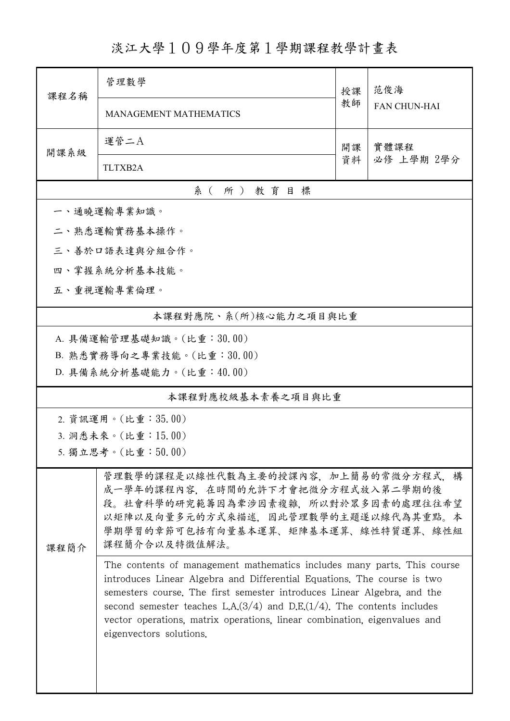## 淡江大學109學年度第1學期課程教學計畫表

| 課程名稱                                                                              | 管理數學                                                                                                                                                                                                                                                                                                                                                                                                                   | 授課         | 范俊海<br><b>FAN CHUN-HAI</b> |  |  |  |  |
|-----------------------------------------------------------------------------------|------------------------------------------------------------------------------------------------------------------------------------------------------------------------------------------------------------------------------------------------------------------------------------------------------------------------------------------------------------------------------------------------------------------------|------------|----------------------------|--|--|--|--|
|                                                                                   | <b>MANAGEMENT MATHEMATICS</b>                                                                                                                                                                                                                                                                                                                                                                                          | 教師         |                            |  |  |  |  |
| 開課系級                                                                              | 運管二A                                                                                                                                                                                                                                                                                                                                                                                                                   | 實體課程<br>開課 |                            |  |  |  |  |
|                                                                                   | <b>TLTXB2A</b>                                                                                                                                                                                                                                                                                                                                                                                                         | 資料         | 必修 上學期 2學分                 |  |  |  |  |
| 系(所)教育目標                                                                          |                                                                                                                                                                                                                                                                                                                                                                                                                        |            |                            |  |  |  |  |
| 一、通曉運輸專業知識。                                                                       |                                                                                                                                                                                                                                                                                                                                                                                                                        |            |                            |  |  |  |  |
| 二、熟悉運輸實務基本操作。                                                                     |                                                                                                                                                                                                                                                                                                                                                                                                                        |            |                            |  |  |  |  |
|                                                                                   | 三、善於口語表達與分組合作。                                                                                                                                                                                                                                                                                                                                                                                                         |            |                            |  |  |  |  |
|                                                                                   | 四、掌握系統分析基本技能。                                                                                                                                                                                                                                                                                                                                                                                                          |            |                            |  |  |  |  |
|                                                                                   | 五、重視運輸專業倫理。                                                                                                                                                                                                                                                                                                                                                                                                            |            |                            |  |  |  |  |
|                                                                                   | 本課程對應院、系(所)核心能力之項目與比重                                                                                                                                                                                                                                                                                                                                                                                                  |            |                            |  |  |  |  |
| A. 具備運輸管理基礎知識。(比重:30.00)<br>B. 熟悉實務導向之專業技能。(比重:30.00)<br>D. 具備系統分析基礎能力。(比重:40.00) |                                                                                                                                                                                                                                                                                                                                                                                                                        |            |                            |  |  |  |  |
| 本課程對應校級基本素養之項目與比重                                                                 |                                                                                                                                                                                                                                                                                                                                                                                                                        |            |                            |  |  |  |  |
| 2. 資訊運用。(比重:35.00)<br>3. 洞悉未來。(比重:15.00)<br>5. 獨立思考。(比重:50.00)                    |                                                                                                                                                                                                                                                                                                                                                                                                                        |            |                            |  |  |  |  |
| 課程簡介                                                                              | 管理數學的課程是以線性代數為主要的授課內容,加上簡易的常微分方程式,構<br>成一學年的課程內容,在時間的允許下才會把微分方程式放入第二學期的後<br>段。社會科學的研究範籌因為牽涉因素複雜,所以對於眾多因素的處理往往希望<br>以矩陣以及向量多元的方式來描述,因此管理數學的主題遂以線代為其重點。本<br>學期學習的章節可包括有向量基本運算、矩陣基本運算、線性特質運算、線性組<br>課程簡介合以及特徵值解法。                                                                                                                                                                                                         |            |                            |  |  |  |  |
|                                                                                   | The contents of management mathematics includes many parts. This course<br>introduces Linear Algebra and Differential Equations. The course is two<br>semesters course. The first semester introduces Linear Algebra, and the<br>second semester teaches L,A, $(3/4)$ and D,E, $(1/4)$ . The contents includes<br>vector operations, matrix operations, linear combination, eigenvalues and<br>eigenvectors solutions. |            |                            |  |  |  |  |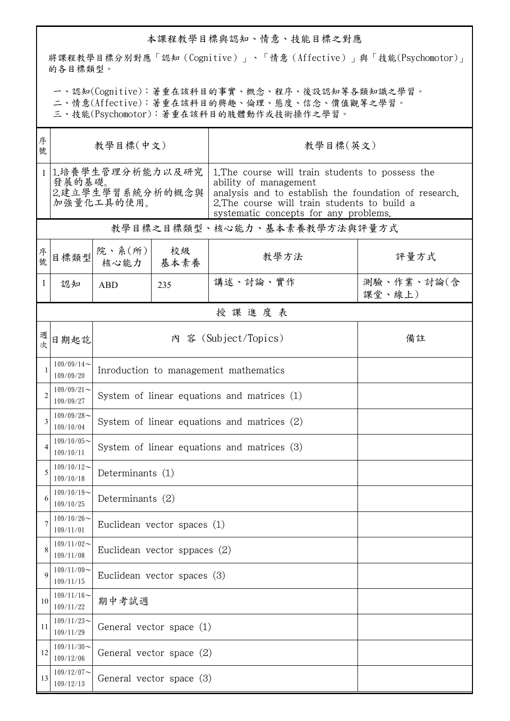## 本課程教學目標與認知、情意、技能目標之對應

將課程教學目標分別對應「認知(Cognitive)」、「情意(Affective)」與「技能(Psychomotor)」 的各目標類型。

一、認知(Cognitive):著重在該科目的事實、概念、程序、後設認知等各類知識之學習。

二、情意(Affective):著重在該科目的興趣、倫理、態度、信念、價值觀等之學習。

三、技能(Psychomotor):著重在該科目的肢體動作或技術操作之學習。

| 序<br>號         | 教學目標(中文)                                                       |                                               |     | 教學目標(英文)                                                                                                                                                                                                                    |                      |  |  |  |
|----------------|----------------------------------------------------------------|-----------------------------------------------|-----|-----------------------------------------------------------------------------------------------------------------------------------------------------------------------------------------------------------------------------|----------------------|--|--|--|
|                | 1 1.培養學生管理分析能力以及研究<br>發展的基礎。<br>2.建立學生學習系統分析的概念與<br>加強量化工具的使用。 |                                               |     | 1. The course will train students to possess the<br>ability of management<br>analysis and to establish the foundation of research.<br>2. The course will train students to build a<br>systematic concepts for any problems. |                      |  |  |  |
|                | 教學目標之目標類型、核心能力、基本素養教學方法與評量方式                                   |                                               |     |                                                                                                                                                                                                                             |                      |  |  |  |
| 序號             | 目標類型                                                           | 院、系 $(\kappa)$  <br>核心能力 基本素養                 | 校級  | 教學方法                                                                                                                                                                                                                        | 評量方式                 |  |  |  |
| $\mathbf{1}$   | 認知                                                             | <b>ABD</b>                                    | 235 | 講述、討論、實作                                                                                                                                                                                                                    | 測驗、作業、討論(含<br>課堂、線上) |  |  |  |
|                | 授課進度表                                                          |                                               |     |                                                                                                                                                                                                                             |                      |  |  |  |
| 週<br>坎         | 日期起訖                                                           |                                               |     | 內 容 (Subject/Topics)                                                                                                                                                                                                        | 備註                   |  |  |  |
|                | $109/09/14$ ~<br>109/09/20                                     | Inroduction to management mathematics         |     |                                                                                                                                                                                                                             |                      |  |  |  |
| $\overline{2}$ | $109/09/21$ ~<br>109/09/27                                     | System of linear equations and matrices $(1)$ |     |                                                                                                                                                                                                                             |                      |  |  |  |
| 3              | $109/09/28$ ~<br>109/10/04                                     | System of linear equations and matrices (2)   |     |                                                                                                                                                                                                                             |                      |  |  |  |
| $\overline{4}$ | $109/10/05$ ~<br>109/10/11                                     | System of linear equations and matrices (3)   |     |                                                                                                                                                                                                                             |                      |  |  |  |
| 5              | $109/10/12$ ~<br>109/10/18                                     | Determinants (1)                              |     |                                                                                                                                                                                                                             |                      |  |  |  |
| 6              | $109/10/19$ ~<br>109/10/25                                     | Determinants (2)                              |     |                                                                                                                                                                                                                             |                      |  |  |  |
|                | $109/10/26$ ~<br>109/11/01                                     | Euclidean vector spaces (1)                   |     |                                                                                                                                                                                                                             |                      |  |  |  |
| 8              | $109/11/02$ ~<br>109/11/08                                     | Euclidean vector sppaces (2)                  |     |                                                                                                                                                                                                                             |                      |  |  |  |
| 9              | $109/11/09$ ~<br>109/11/15                                     | Euclidean vector spaces (3)                   |     |                                                                                                                                                                                                                             |                      |  |  |  |
| 10             | $109/11/16$ ~<br>109/11/22                                     | 期中考試週                                         |     |                                                                                                                                                                                                                             |                      |  |  |  |
| 11             | $109/11/23$ ~<br>109/11/29                                     | General vector space (1)                      |     |                                                                                                                                                                                                                             |                      |  |  |  |
| 12             | $109/11/30$ ~<br>109/12/06                                     | General vector space (2)                      |     |                                                                                                                                                                                                                             |                      |  |  |  |
| 13             | $109/12/07$ ~<br>109/12/13                                     | General vector space (3)                      |     |                                                                                                                                                                                                                             |                      |  |  |  |